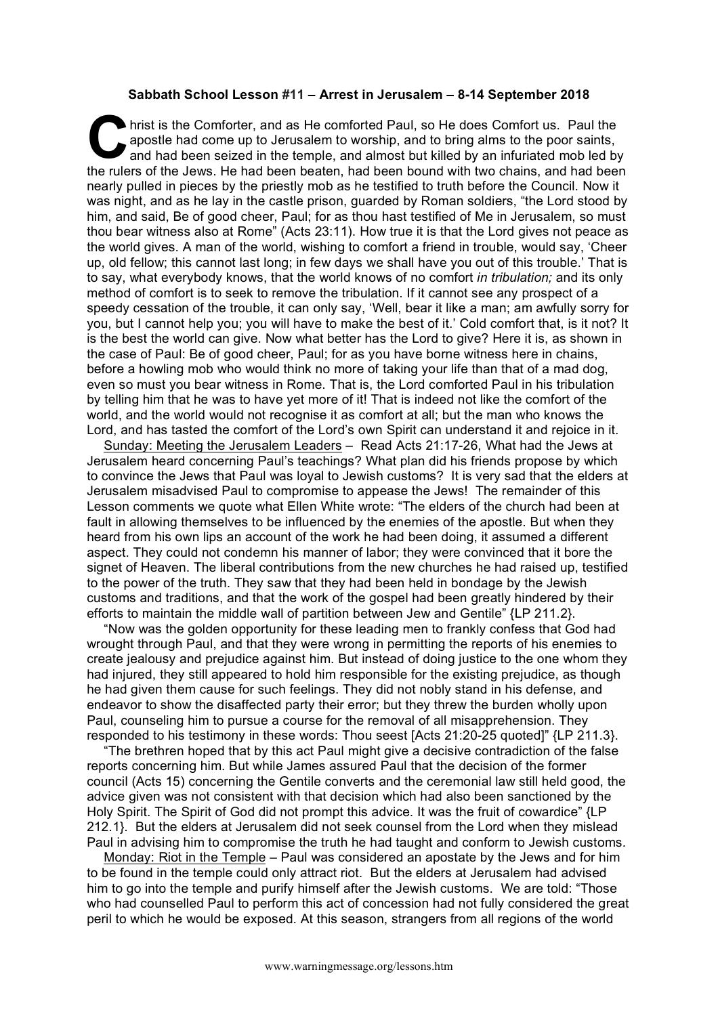## **Sabbath School Lesson #11 – Arrest in Jerusalem – 8-14 September 2018**

hrist is the Comforter, and as He comforted Paul, so He does Comfort us. Paul the apostle had come up to Jerusalem to worship, and to bring alms to the poor saints, and had been seized in the temple, and almost but killed by an infuriated mob led by the rulers of the Jews. He had been beaten, had been bound with two chains, and had been nearly pulled in pieces by the priestly mob as he testified to truth before the Council. Now it was night, and as he lay in the castle prison, guarded by Roman soldiers, "the Lord stood by him, and said, Be of good cheer, Paul; for as thou hast testified of Me in Jerusalem, so must thou bear witness also at Rome" (Acts 23:11). How true it is that the Lord gives not peace as the world gives. A man of the world, wishing to comfort a friend in trouble, would say, 'Cheer up, old fellow; this cannot last long; in few days we shall have you out of this trouble.' That is to say, what everybody knows, that the world knows of no comfort *in tribulation;* and its only method of comfort is to seek to remove the tribulation. If it cannot see any prospect of a speedy cessation of the trouble, it can only say, 'Well, bear it like a man; am awfully sorry for you, but I cannot help you; you will have to make the best of it.' Cold comfort that, is it not? It is the best the world can give. Now what better has the Lord to give? Here it is, as shown in the case of Paul: Be of good cheer, Paul; for as you have borne witness here in chains, before a howling mob who would think no more of taking your life than that of a mad dog, even so must you bear witness in Rome. That is, the Lord comforted Paul in his tribulation by telling him that he was to have yet more of it! That is indeed not like the comfort of the world, and the world would not recognise it as comfort at all; but the man who knows the Lord, and has tasted the comfort of the Lord's own Spirit can understand it and rejoice in it. **C** ape

Sunday: Meeting the Jerusalem Leaders – Read Acts 21:17-26, What had the Jews at Jerusalem heard concerning Paul's teachings? What plan did his friends propose by which to convince the Jews that Paul was loyal to Jewish customs? It is very sad that the elders at Jerusalem misadvised Paul to compromise to appease the Jews! The remainder of this Lesson comments we quote what Ellen White wrote: "The elders of the church had been at fault in allowing themselves to be influenced by the enemies of the apostle. But when they heard from his own lips an account of the work he had been doing, it assumed a different aspect. They could not condemn his manner of labor; they were convinced that it bore the signet of Heaven. The liberal contributions from the new churches he had raised up, testified to the power of the truth. They saw that they had been held in bondage by the Jewish customs and traditions, and that the work of the gospel had been greatly hindered by their efforts to maintain the middle wall of partition between Jew and Gentile" {LP 211.2}.

"Now was the golden opportunity for these leading men to frankly confess that God had wrought through Paul, and that they were wrong in permitting the reports of his enemies to create jealousy and prejudice against him. But instead of doing justice to the one whom they had injured, they still appeared to hold him responsible for the existing prejudice, as though he had given them cause for such feelings. They did not nobly stand in his defense, and endeavor to show the disaffected party their error; but they threw the burden wholly upon Paul, counseling him to pursue a course for the removal of all misapprehension. They responded to his testimony in these words: Thou seest [Acts 21:20-25 quoted]" {LP 211.3}.

"The brethren hoped that by this act Paul might give a decisive contradiction of the false reports concerning him. But while James assured Paul that the decision of the former council (Acts 15) concerning the Gentile converts and the ceremonial law still held good, the advice given was not consistent with that decision which had also been sanctioned by the Holy Spirit. The Spirit of God did not prompt this advice. It was the fruit of cowardice" {LP 212.1}. But the elders at Jerusalem did not seek counsel from the Lord when they mislead Paul in advising him to compromise the truth he had taught and conform to Jewish customs.

Monday: Riot in the Temple – Paul was considered an apostate by the Jews and for him to be found in the temple could only attract riot. But the elders at Jerusalem had advised him to go into the temple and purify himself after the Jewish customs. We are told: "Those who had counselled Paul to perform this act of concession had not fully considered the great peril to which he would be exposed. At this season, strangers from all regions of the world